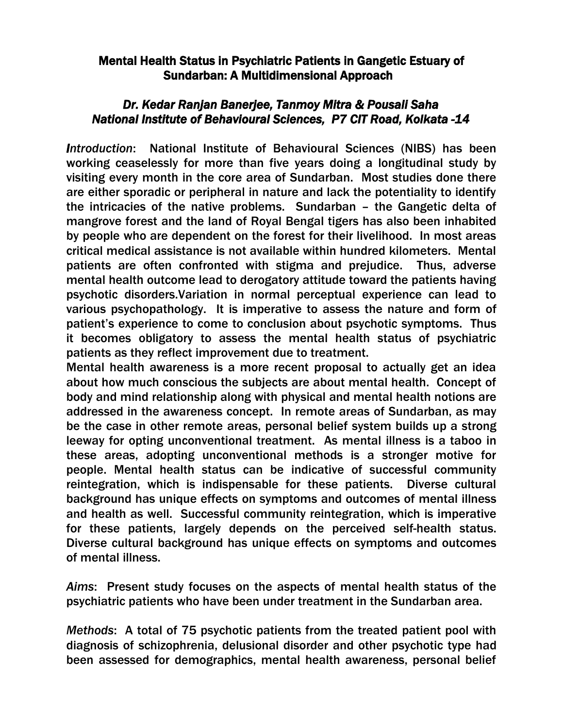## Mental Health Status in Psychiatric Patients in Gangetic Estuary of Sundarban: A Multidimensional Approach

## *Dr. Kedar Ranjan Banerjee, Tanmoy Mitra & Pousali Saha National Institute of Behavioural Sciences, P7 CIT Road, Kolkata -14*

*Introduction*: National Institute of Behavioural Sciences (NIBS) has been working ceaselessly for more than five years doing a longitudinal study by visiting every month in the core area of Sundarban. Most studies done there are either sporadic or peripheral in nature and lack the potentiality to identify the intricacies of the native problems. Sundarban – the Gangetic delta of mangrove forest and the land of Royal Bengal tigers has also been inhabited by people who are dependent on the forest for their livelihood. In most areas critical medical assistance is not available within hundred kilometers. Mental patients are often confronted with stigma and prejudice. Thus, adverse mental health outcome lead to derogatory attitude toward the patients having psychotic disorders.Variation in normal perceptual experience can lead to various psychopathology. It is imperative to assess the nature and form of patient's experience to come to conclusion about psychotic symptoms. Thus it becomes obligatory to assess the mental health status of psychiatric patients as they reflect improvement due to treatment.

Mental health awareness is a more recent proposal to actually get an idea about how much conscious the subjects are about mental health. Concept of body and mind relationship along with physical and mental health notions are addressed in the awareness concept. In remote areas of Sundarban, as may be the case in other remote areas, personal belief system builds up a strong leeway for opting unconventional treatment. As mental illness is a taboo in these areas, adopting unconventional methods is a stronger motive for people. Mental health status can be indicative of successful community reintegration, which is indispensable for these patients. Diverse cultural background has unique effects on symptoms and outcomes of mental illness and health as well. Successful community reintegration, which is imperative for these patients, largely depends on the perceived self-health status. Diverse cultural background has unique effects on symptoms and outcomes of mental illness.

*Aims*: Present study focuses on the aspects of mental health status of the psychiatric patients who have been under treatment in the Sundarban area.

*Methods*: A total of 75 psychotic patients from the treated patient pool with diagnosis of schizophrenia, delusional disorder and other psychotic type had been assessed for demographics, mental health awareness, personal belief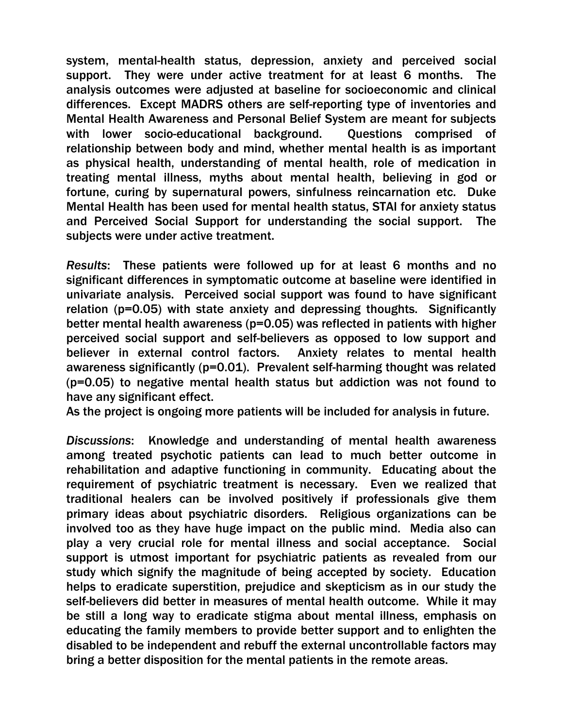system, mental-health status, depression, anxiety and perceived social support. They were under active treatment for at least 6 months. The analysis outcomes were adjusted at baseline for socioeconomic and clinical differences. Except MADRS others are self-reporting type of inventories and Mental Health Awareness and Personal Belief System are meant for subjects with lower socio-educational background. Questions comprised of relationship between body and mind, whether mental health is as important as physical health, understanding of mental health, role of medication in treating mental illness, myths about mental health, believing in god or fortune, curing by supernatural powers, sinfulness reincarnation etc. Duke Mental Health has been used for mental health status, STAI for anxiety status and Perceived Social Support for understanding the social support. The subjects were under active treatment.

*Results*: These patients were followed up for at least 6 months and no significant differences in symptomatic outcome at baseline were identified in univariate analysis. Perceived social support was found to have significant relation (p=0.05) with state anxiety and depressing thoughts. Significantly better mental health awareness (p=0.05) was reflected in patients with higher perceived social support and self-believers as opposed to low support and believer in external control factors. Anxiety relates to mental health awareness significantly (p=0.01). Prevalent self-harming thought was related (p=0.05) to negative mental health status but addiction was not found to have any significant effect.

As the project is ongoing more patients will be included for analysis in future.

*Discussions*: Knowledge and understanding of mental health awareness among treated psychotic patients can lead to much better outcome in rehabilitation and adaptive functioning in community. Educating about the requirement of psychiatric treatment is necessary. Even we realized that traditional healers can be involved positively if professionals give them primary ideas about psychiatric disorders. Religious organizations can be involved too as they have huge impact on the public mind. Media also can play a very crucial role for mental illness and social acceptance. Social support is utmost important for psychiatric patients as revealed from our study which signify the magnitude of being accepted by society. Education helps to eradicate superstition, prejudice and skepticism as in our study the self-believers did better in measures of mental health outcome. While it may be still a long way to eradicate stigma about mental illness, emphasis on educating the family members to provide better support and to enlighten the disabled to be independent and rebuff the external uncontrollable factors may bring a better disposition for the mental patients in the remote areas.